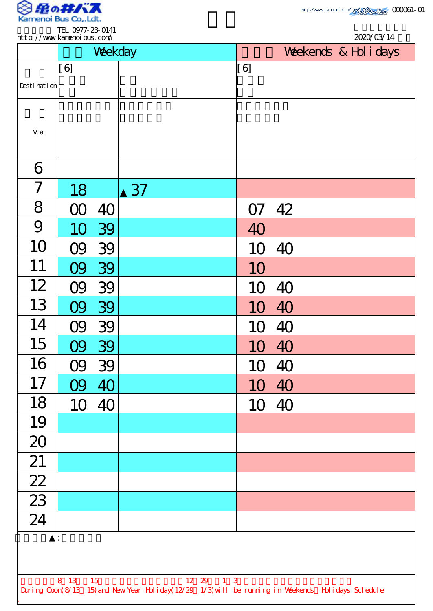

TEL 0977-23-0141

|                 |     | Weekday |    |       | Weekends & Hol i days |  |  |
|-----------------|-----|---------|----|-------|-----------------------|--|--|
|                 | [6] |         |    | [6]   |                       |  |  |
| Desti nati on   |     |         |    |       |                       |  |  |
| Vi a            |     |         |    |       |                       |  |  |
| 6               |     |         |    |       |                       |  |  |
| 7               | 18  |         | 37 |       |                       |  |  |
| 8               |     | 40      |    | O7    | 42                    |  |  |
| 9               | 10  | 39      |    | 40    |                       |  |  |
| 10              |     | 39      |    | 10    | 40                    |  |  |
| 11              |     | 39      |    | 10    |                       |  |  |
| 12              |     | 39      |    | 1C    | 40                    |  |  |
| 13              |     | 09 39   |    | 10    | 40                    |  |  |
| 14              |     | 09 39   |    | 10 40 |                       |  |  |
| 15              | 09  | 39      |    | 10 40 |                       |  |  |
| 16              | 09  | 39      |    | 10    | 40                    |  |  |
| 17              | 09  | 40      |    | 10 40 |                       |  |  |
| 18              | 10  | 40      |    |       | 10 40                 |  |  |
| 19              |     |         |    |       |                       |  |  |
| 20              |     |         |    |       |                       |  |  |
| 21              |     |         |    |       |                       |  |  |
| $\overline{22}$ |     |         |    |       |                       |  |  |
| $\frac{23}{24}$ |     |         |    |       |                       |  |  |
|                 |     |         |    |       |                       |  |  |